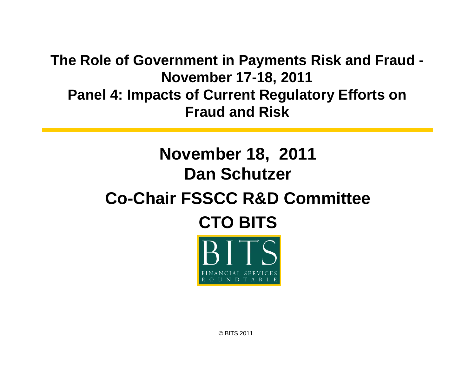**The Role of Government in Pa yments Risk and Fraud - November 17-18, 2011 Panel 4: Impacts of Current Regulatory Efforts on Fraud and Risk**

## **November 18, 2011 Dan Schutzer**

## **Co-Chair FSSCC R&D Committee**





© BITS 2011.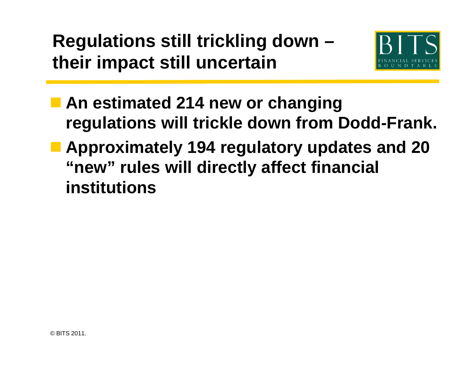**Regulations still trickling down – their impact still uncertain**



 **An estimated 214 new or changing regulations will trickle down from Dodd-Frank. Approximately 194 regulatory updates and 20 "new" rules will directly affect financial institutions**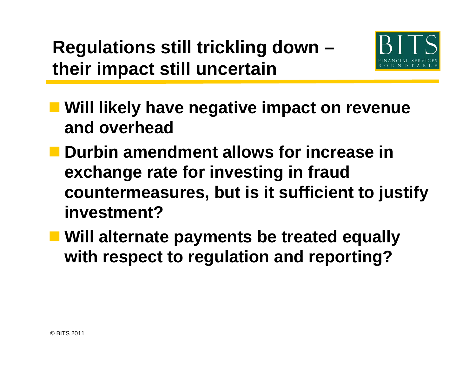**Regulations still trickling down – their impact still uncertain**



- $\blacksquare$  **Will likely have negative impact on revenue and overhead**
- Durbin amendment allows for increase in **exchange rate for investing in fraud countermeasures, but is it sufficient to justify i t t? nves tment?**
- **Will alternate payments be treated equally with t t l ti d ti ? ith respec to regulation an d reporting**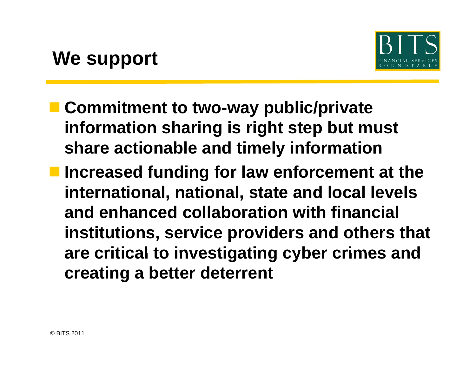

- **E** Commitment to two-way public/private **information sharing is right step but must share actionable and timely information**
- **Increased funding for law enforcement at the international, national, state and local levels and h d ll b ti ith fi i l d enhanced collaboration with financial institutions, service providers and others that are critical to investigating cyber crimes and to cyber creating a better deterrent**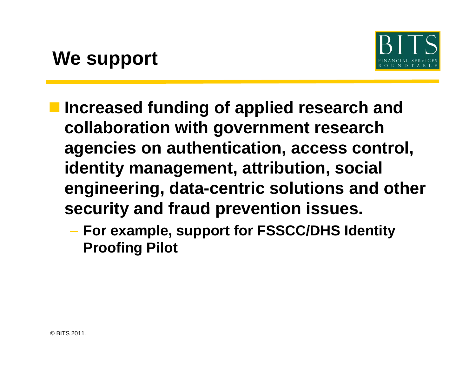

- **Increased funding of applied research and collaboration with government research agencies on authentication, access control, identity management, attribution, social engineering, data-centric solutions and other security and fraud prevention issues issues.** 
	- **For example, support for FSSCC/DHS Identity Proofing Pilot**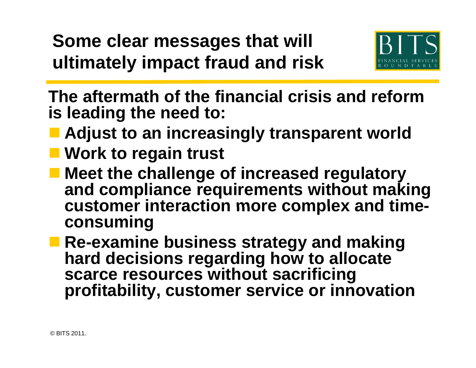**Some clear messages that will ultimately impact fraud and risk risk**



**The aftermath of the financial crisis and reform is leading the need to:**

- **Adjust to an increasingly transparent world**
- Work to regain trust
- **Meet the challenge of increased regulatory**  and compliance requirements without making **customer interaction more complex and time complex consuming**
- **Re-examine business strategy and making**  hard decisions regarding how to allocate **scarce resources without sacrificing profitabilit y, customer service or innovation p y**